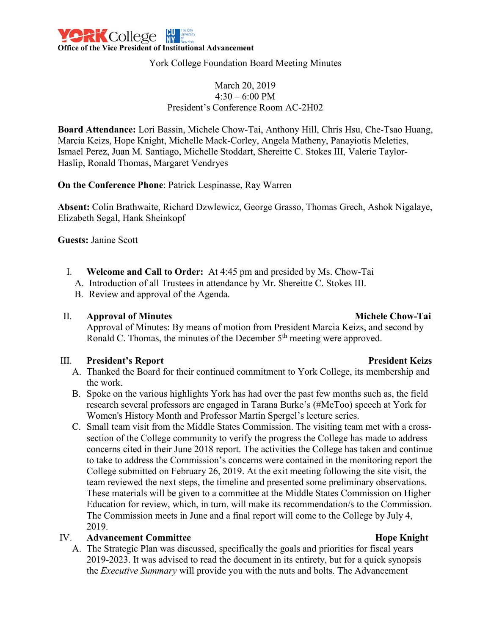

York College Foundation Board Meeting Minutes

### March 20, 2019  $4:30 - 6:00$  PM President's Conference Room AC-2H02

**Board Attendance:** Lori Bassin, Michele Chow-Tai, Anthony Hill, Chris Hsu, Che-Tsao Huang, Marcia Keizs, Hope Knight, Michelle Mack-Corley, Angela Matheny, Panayiotis Meleties, Ismael Perez, Juan M. Santiago, Michelle Stoddart, Shereitte C. Stokes III, Valerie Taylor-Haslip, Ronald Thomas, Margaret Vendryes

**On the Conference Phone**: Patrick Lespinasse, Ray Warren

**Absent:** Colin Brathwaite, Richard Dzwlewicz, George Grasso, Thomas Grech, Ashok Nigalaye, Elizabeth Segal, Hank Sheinkopf

**Guests:** Janine Scott

- I. **Welcome and Call to Order:** At 4:45 pm and presided by Ms. Chow-Tai
	- A. Introduction of all Trustees in attendance by Mr. Shereitte C. Stokes III.
	- B. Review and approval of the Agenda.

### II. **Approval of Minutes Michele Chow-Tai**

Approval of Minutes: By means of motion from President Marcia Keizs, and second by Ronald C. Thomas, the minutes of the December 5<sup>th</sup> meeting were approved.

### III. **President's Report President Keizs**

- A. Thanked the Board for their continued commitment to York College, its membership and the work.
- B. Spoke on the various highlights York has had over the past few months such as, the field research several professors are engaged in Tarana Burke's (#MeToo) speech at York for Women's History Month and Professor Martin Spergel's lecture series.
- C. Small team visit from the Middle States Commission. The visiting team met with a crosssection of the College community to verify the progress the College has made to address concerns cited in their June 2018 report. The activities the College has taken and continue to take to address the Commission's concerns were contained in the monitoring report the College submitted on February 26, 2019. At the exit meeting following the site visit, the team reviewed the next steps, the timeline and presented some preliminary observations. These materials will be given to a committee at the Middle States Commission on Higher Education for review, which, in turn, will make its recommendation/s to the Commission. The Commission meets in June and a final report will come to the College by July 4, 2019.

### IV. **Advancement Committee <b>Hope Knight Hope Knight**

A. The Strategic Plan was discussed, specifically the goals and priorities for fiscal years 2019-2023. It was advised to read the document in its entirety, but for a quick synopsis the *Executive Summary* will provide you with the nuts and bolts. The Advancement